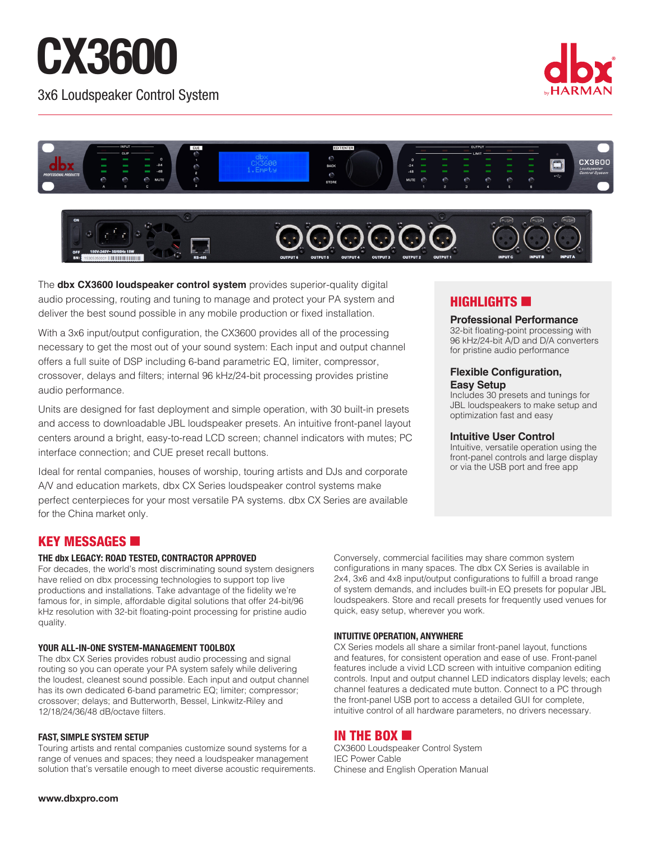# CX3600

3x6 Loudspeaker Control System





The **dbx CX3600 loudspeaker control system** provides superior-quality digital audio processing, routing and tuning to manage and protect your PA system and deliver the best sound possible in any mobile production or fixed installation.

With a 3x6 input/output configuration, the CX3600 provides all of the processing necessary to get the most out of your sound system: Each input and output channel offers a full suite of DSP including 6-band parametric EQ, limiter, compressor, crossover, delays and filters; internal 96 kHz/24-bit processing provides pristine audio performance.

Units are designed for fast deployment and simple operation, with 30 built-in presets and access to downloadable JBL loudspeaker presets. An intuitive front-panel layout centers around a bright, easy-to-read LCD screen; channel indicators with mutes; PC interface connection; and CUE preset recall buttons.

Ideal for rental companies, houses of worship, touring artists and DJs and corporate A/V and education markets, dbx CX Series loudspeaker control systems make perfect centerpieces for your most versatile PA systems. dbx CX Series are available for the China market only.

## **HIGHLIGHTS**

## **Professional Performance**

32-bit floating-point processing with 96 kHz/24-bit A/D and D/A converters for pristine audio performance

## **Flexible Configuration, Easy Setup**

Includes 30 presets and tunings for JBL loudspeakers to make setup and optimization fast and easy

## **Intuitive User Control**

Intuitive, versatile operation using the front-panel controls and large display or via the USB port and free app

# KEY MESSAGES **6**

## **THE dbx LEGACY: ROAD TESTED, CONTRACTOR APPROVED**

For decades, the world's most discriminating sound system designers have relied on dbx processing technologies to support top live productions and installations. Take advantage of the fidelity we're famous for, in simple, affordable digital solutions that offer 24-bit/96 kHz resolution with 32-bit floating-point processing for pristine audio quality.

## **YOUR ALL-IN-ONE SYSTEM-MANAGEMENT TOOLBOX**

The dbx CX Series provides robust audio processing and signal routing so you can operate your PA system safely while delivering the loudest, cleanest sound possible. Each input and output channel has its own dedicated 6-band parametric EQ; limiter; compressor; crossover; delays; and Butterworth, Bessel, Linkwitz-Riley and 12/18/24/36/48 dB/octave filters.

## **FAST, SIMPLE SYSTEM SETUP**

Touring artists and rental companies customize sound systems for a range of venues and spaces; they need a loudspeaker management solution that's versatile enough to meet diverse acoustic requirements. Conversely, commercial facilities may share common system configurations in many spaces. The dbx CX Series is available in 2x4, 3x6 and 4x8 input/output configurations to fulfill a broad range of system demands, and includes built-in EQ presets for popular JBL loudspeakers. Store and recall presets for frequently used venues for quick, easy setup, wherever you work.

## **INTUITIVE OPERATION, ANYWHERE**

CX Series models all share a similar front-panel layout, functions and features, for consistent operation and ease of use. Front-panel features include a vivid LCD screen with intuitive companion editing controls. Input and output channel LED indicators display levels; each channel features a dedicated mute button. Connect to a PC through the front-panel USB port to access a detailed GUI for complete, intuitive control of all hardware parameters, no drivers necessary.

## IN THE BOX  $\blacksquare$

CX3600 Loudspeaker Control System IEC Power Cable Chinese and English Operation Manual